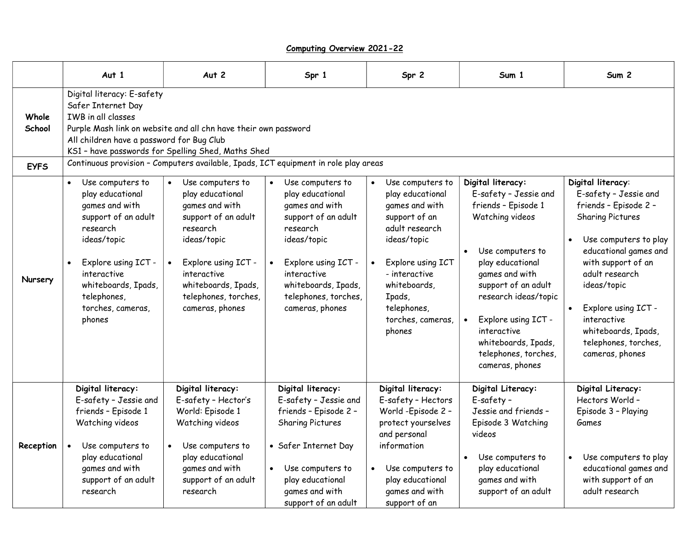## Computing Overview 2021-22

|                 | Aut 1                                                                                                                                                                                                                                        | Aut 2                                                                                                                                                                                                            | Spr 1                                                                                                                                                                                                            | Spr 2                                                                                                                                                                                                                               | Sum 1                                                                                                                                                                                                                                                                                                 | Sum <sub>2</sub>                                                                                                                                                                                                                                                                                                |  |
|-----------------|----------------------------------------------------------------------------------------------------------------------------------------------------------------------------------------------------------------------------------------------|------------------------------------------------------------------------------------------------------------------------------------------------------------------------------------------------------------------|------------------------------------------------------------------------------------------------------------------------------------------------------------------------------------------------------------------|-------------------------------------------------------------------------------------------------------------------------------------------------------------------------------------------------------------------------------------|-------------------------------------------------------------------------------------------------------------------------------------------------------------------------------------------------------------------------------------------------------------------------------------------------------|-----------------------------------------------------------------------------------------------------------------------------------------------------------------------------------------------------------------------------------------------------------------------------------------------------------------|--|
| Whole<br>School | Digital literacy: E-safety<br>Safer Internet Day<br>IWB in all classes<br>Purple Mash link on website and all chn have their own password<br>All children have a password for Bug Club<br>KS1 - have passwords for Spelling Shed, Maths Shed |                                                                                                                                                                                                                  |                                                                                                                                                                                                                  |                                                                                                                                                                                                                                     |                                                                                                                                                                                                                                                                                                       |                                                                                                                                                                                                                                                                                                                 |  |
| <b>EYFS</b>     | Continuous provision - Computers available, Ipads, ICT equipment in role play areas                                                                                                                                                          |                                                                                                                                                                                                                  |                                                                                                                                                                                                                  |                                                                                                                                                                                                                                     |                                                                                                                                                                                                                                                                                                       |                                                                                                                                                                                                                                                                                                                 |  |
| Nursery         | Use computers to<br>$\bullet$<br>play educational<br>games and with<br>support of an adult<br>research<br>ideas/topic<br>Explore using ICT -<br>interactive<br>whiteboards, Ipads,<br>telephones,<br>torches, cameras,<br>phones             | Use computers to<br>play educational<br>games and with<br>support of an adult<br>research<br>ideas/topic<br>Explore using ICT -<br>interactive<br>whiteboards, Ipads,<br>telephones, torches,<br>cameras, phones | Use computers to<br>play educational<br>games and with<br>support of an adult<br>research<br>ideas/topic<br>Explore using ICT -<br>interactive<br>whiteboards, Ipads,<br>telephones, torches,<br>cameras, phones | Use computers to<br>$\bullet$<br>play educational<br>games and with<br>support of an<br>adult research<br>ideas/topic<br>Explore using ICT<br>- interactive<br>whiteboards,<br>Ipads,<br>telephones,<br>torches, cameras,<br>phones | Digital literacy:<br>E-safety - Jessie and<br>friends - Episode 1<br>Watching videos<br>Use computers to<br>play educational<br>games and with<br>support of an adult<br>research ideas/topic<br>Explore using ICT -<br>interactive<br>whiteboards, Ipads,<br>telephones, torches,<br>cameras, phones | Digital literacy:<br>E-safety - Jessie and<br>friends - Episode 2 -<br><b>Sharing Pictures</b><br>Use computers to play<br>educational games and<br>with support of an<br>adult research<br>ideas/topic<br>Explore using ICT -<br>interactive<br>whiteboards, Ipads,<br>telephones, torches,<br>cameras, phones |  |
| Reception       | Digital literacy:<br>E-safety - Jessie and<br>friends - Episode 1<br>Watching videos<br>Use computers to<br>play educational<br>games and with<br>support of an adult<br>research                                                            | Digital literacy:<br>E-safety - Hector's<br>World: Episode 1<br>Watching videos<br>Use computers to<br>play educational<br>games and with<br>support of an adult<br>research                                     | Digital literacy:<br>E-safety - Jessie and<br>friends - Episode 2 -<br><b>Sharing Pictures</b><br>• Safer Internet Day<br>Use computers to<br>play educational<br>games and with<br>support of an adult          | Digital literacy:<br>E-safety - Hectors<br>World - Episode 2 -<br>protect yourselves<br>and personal<br>information<br>Use computers to<br>$\bullet$<br>play educational<br>games and with<br>support of an                         | Digital Literacy:<br>E-safety -<br>Jessie and friends -<br>Episode 3 Watching<br>videos<br>Use computers to<br>play educational<br>games and with<br>support of an adult                                                                                                                              | Digital Literacy:<br>Hectors World -<br>Episode 3 - Playing<br>Games<br>Use computers to play<br>educational games and<br>with support of an<br>adult research                                                                                                                                                  |  |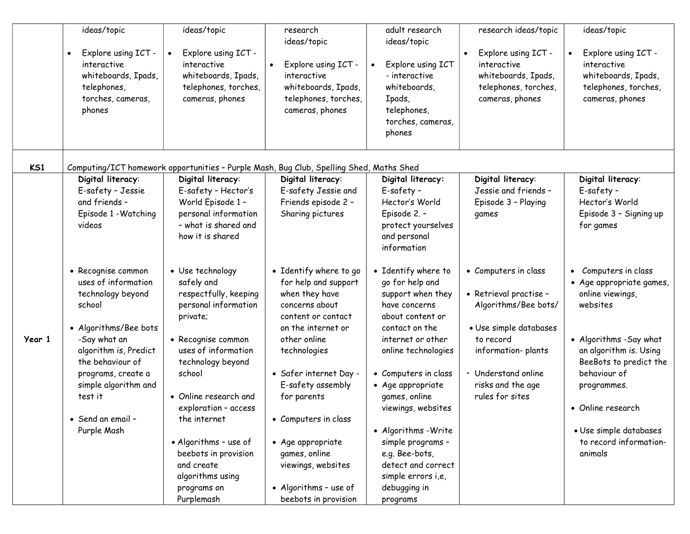|        | ideas/topic<br>Explore using ICT -<br>interactive<br>whiteboards, Ipads,<br>telephones,<br>torches, cameras,<br>phones                                               | ideas/topic<br>Explore using ICT -<br>interactive<br>whiteboards, Ipads,<br>telephones, torches,<br>cameras, phones                                           | research<br>ideas/topic<br>Explore using ICT -<br>interactive<br>whiteboards, Ipads,<br>telephones, torches,<br>cameras, phones                                | adult research<br>ideas/topic<br>Explore using ICT<br>- interactive<br>whiteboards,<br>Ipads,<br>telephones,<br>torches, cameras,<br>phones                    | research ideas/topic<br>Explore using ICT -<br>interactive<br>whiteboards, Ipads,<br>telephones, torches,<br>cameras, phones        | ideas/topic<br>Explore using ICT -<br>interactive<br>whiteboards, Ipads,<br>telephones, torches,<br>cameras, phones                                             |
|--------|----------------------------------------------------------------------------------------------------------------------------------------------------------------------|---------------------------------------------------------------------------------------------------------------------------------------------------------------|----------------------------------------------------------------------------------------------------------------------------------------------------------------|----------------------------------------------------------------------------------------------------------------------------------------------------------------|-------------------------------------------------------------------------------------------------------------------------------------|-----------------------------------------------------------------------------------------------------------------------------------------------------------------|
| K51    |                                                                                                                                                                      | Computing/ICT homework opportunities - Purple Mash, Bug Club, Spelling Shed, Maths Shed                                                                       |                                                                                                                                                                |                                                                                                                                                                |                                                                                                                                     |                                                                                                                                                                 |
|        | Digital literacy:<br>E-safety - Jessie<br>and friends -<br>Episode 1 - Watching<br>videos                                                                            | Digital literacy:<br>E-safety - Hector's<br>World Episode 1 -<br>personal information<br>- what is shared and<br>how it is shared                             | Digital literacy:<br>E-safety Jessie and<br>Friends episode 2 -<br>Sharing pictures                                                                            | Digital literacy:<br>E-safety -<br>Hector's World<br>Episode 2. -<br>protect yourselves<br>and personal<br>information                                         | Digital literacy:<br>Jessie and friends -<br>Episode 3 - Playing<br>games                                                           | Digital literacy:<br>E-safety -<br>Hector's World<br>Episode 3 - Signing up<br>for games                                                                        |
| Year 1 | • Recognise common<br>uses of information<br>technology beyond<br>school<br>• Algorithms/Bee bots<br>-Say what an<br>algorithm is, Predict<br>the behaviour of       | • Use technology<br>safely and<br>respectfully, keeping<br>personal information<br>private;<br>• Recognise common<br>uses of information<br>technology beyond | • Identify where to go<br>for help and support<br>when they have<br>concerns about<br>content or contact<br>on the internet or<br>other online<br>technologies | • Identify where to<br>go for help and<br>support when they<br>have concerns<br>about content or<br>contact on the<br>internet or other<br>online technologies | • Computers in class<br>• Retrieval practise -<br>Algorithms/Bee bots/<br>· Use simple databases<br>to record<br>information-plants | • Computers in class<br>• Age appropriate games,<br>online viewings,<br>websites<br>· Algorithms - Say what<br>an algorithm is. Using<br>BeeBots to predict the |
|        | school<br>programs, create a<br>simple algorithm and<br>• Online research and<br>test it<br>exploration - access<br>• Send an email -<br>the internet<br>Purple Mash | • Safer internet Day -<br>E-safety assembly<br>for parents<br>• Computers in class                                                                            | • Computers in class<br>• Age appropriate<br>games, online<br>viewings, websites<br>• Algorithms - Write                                                       | • Understand online<br>risks and the age<br>rules for sites                                                                                                    | behaviour of<br>programmes.<br>• Online research<br>· Use simple databases                                                          |                                                                                                                                                                 |
|        |                                                                                                                                                                      | • Algorithms - use of<br>beebots in provision<br>and create<br>algorithms using<br>programs on<br>Purplemash                                                  | • Age appropriate<br>games, online<br>viewings, websites<br>• Algorithms - use of<br>beebots in provision                                                      | simple programs -<br>e.g. Bee-bots,<br>detect and correct<br>simple errors i,e,<br>debugging in<br>programs                                                    |                                                                                                                                     | to record information-<br>animals                                                                                                                               |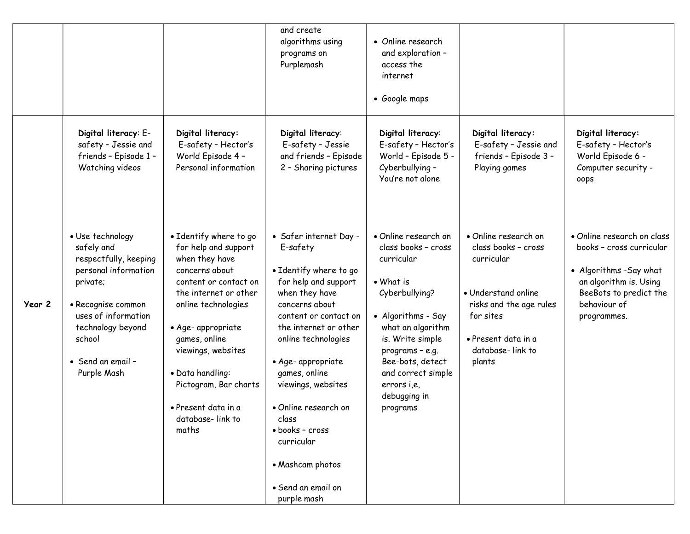|        |                                                                                                                                                                                                             |                                                                                                                                                                                                                                                                                                                           | and create<br>algorithms using<br>programs on<br>Purplemash                                                                                                                                                                                                                                                                                                                               | • Online research<br>and exploration -<br>access the<br>internet<br>• Google maps                                                                                                                                                                               |                                                                                                                                                                               |                                                                                                                                                                      |
|--------|-------------------------------------------------------------------------------------------------------------------------------------------------------------------------------------------------------------|---------------------------------------------------------------------------------------------------------------------------------------------------------------------------------------------------------------------------------------------------------------------------------------------------------------------------|-------------------------------------------------------------------------------------------------------------------------------------------------------------------------------------------------------------------------------------------------------------------------------------------------------------------------------------------------------------------------------------------|-----------------------------------------------------------------------------------------------------------------------------------------------------------------------------------------------------------------------------------------------------------------|-------------------------------------------------------------------------------------------------------------------------------------------------------------------------------|----------------------------------------------------------------------------------------------------------------------------------------------------------------------|
|        | Digital literacy: E-<br>safety - Jessie and<br>friends - Episode 1 -<br>Watching videos                                                                                                                     | Digital literacy:<br>E-safety - Hector's<br>World Episode 4 -<br>Personal information                                                                                                                                                                                                                                     | Digital literacy:<br>E-safety - Jessie<br>and friends - Episode<br>2 - Sharing pictures                                                                                                                                                                                                                                                                                                   | Digital literacy:<br>E-safety - Hector's<br>World - Episode 5 -<br>Cyberbullying -<br>You're not alone                                                                                                                                                          | Digital literacy:<br>E-safety - Jessie and<br>friends - Episode 3 -<br>Playing games                                                                                          | Digital literacy:<br>E-safety - Hector's<br>World Episode 6 -<br>Computer security -<br>oops                                                                         |
| Year 2 | · Use technology<br>safely and<br>respectfully, keeping<br>personal information<br>private;<br>• Recognise common<br>uses of information<br>technology beyond<br>school<br>• Send an email -<br>Purple Mash | • Identify where to go<br>for help and support<br>when they have<br>concerns about<br>content or contact on<br>the internet or other<br>online technologies<br>· Age- appropriate<br>games, online<br>viewings, websites<br>· Data handling:<br>Pictogram, Bar charts<br>• Present data in a<br>database-link to<br>maths | • Safer internet Day -<br>E-safety<br>• Identify where to go<br>for help and support<br>when they have<br>concerns about<br>content or contact on<br>the internet or other<br>online technologies<br>· Age- appropriate<br>games, online<br>viewings, websites<br>• Online research on<br>class<br>· books - cross<br>curricular<br>· Mashcam photos<br>• Send an email on<br>purple mash | • Online research on<br>class books - cross<br>curricular<br>• What is<br>Cyberbullying?<br>• Algorithms - Say<br>what an algorithm<br>is. Write simple<br>programs - e.g.<br>Bee-bots, detect<br>and correct simple<br>errors i,e,<br>debugging in<br>programs | • Online research on<br>class books - cross<br>curricular<br>• Understand online<br>risks and the age rules<br>for sites<br>· Present data in a<br>database-link to<br>plants | • Online research on class<br>books - cross curricular<br>• Algorithms - Say what<br>an algorithm is. Using<br>BeeBots to predict the<br>behaviour of<br>programmes. |